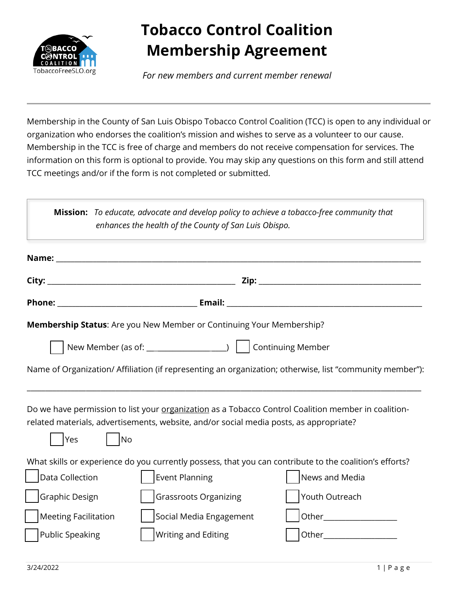

## **Tobacco Control Coalition Membership Agreement**

*For new members and current member renewal*

Membership in the County of San Luis Obispo Tobacco Control Coalition (TCC) is open to any individual or organization who endorses the coalition's mission and wishes to serve as a volunteer to our cause. Membership in the TCC is free of charge and members do not receive compensation for services. The information on this form is optional to provide. You may skip any questions on this form and still attend TCC meetings and/or if the form is not completed or submitted.

|                                                                                                         |                             | enhances the health of the County of San Luis Obispo.                                  |  | Mission: To educate, advocate and develop policy to achieve a tobacco-free community that                |  |
|---------------------------------------------------------------------------------------------------------|-----------------------------|----------------------------------------------------------------------------------------|--|----------------------------------------------------------------------------------------------------------|--|
|                                                                                                         |                             |                                                                                        |  |                                                                                                          |  |
|                                                                                                         |                             |                                                                                        |  |                                                                                                          |  |
|                                                                                                         |                             |                                                                                        |  |                                                                                                          |  |
|                                                                                                         |                             | Membership Status: Are you New Member or Continuing Your Membership?                   |  |                                                                                                          |  |
|                                                                                                         |                             |                                                                                        |  |                                                                                                          |  |
|                                                                                                         |                             |                                                                                        |  | Name of Organization/ Affiliation (if representing an organization; otherwise, list "community member"): |  |
| <b>Yes</b>                                                                                              | $\overline{\phantom{a}}$ No | related materials, advertisements, website, and/or social media posts, as appropriate? |  | Do we have permission to list your organization as a Tobacco Control Coalition member in coalition-      |  |
| What skills or experience do you currently possess, that you can contribute to the coalition's efforts? |                             |                                                                                        |  |                                                                                                          |  |
| Data Collection                                                                                         |                             | <b>Event Planning</b>                                                                  |  | News and Media                                                                                           |  |
| Graphic Design                                                                                          |                             | <b>Grassroots Organizing</b>                                                           |  | Youth Outreach                                                                                           |  |
| <b>Meeting Facilitation</b>                                                                             |                             | Social Media Engagement                                                                |  |                                                                                                          |  |
| Public Speaking                                                                                         |                             | <b>Writing and Editing</b>                                                             |  |                                                                                                          |  |